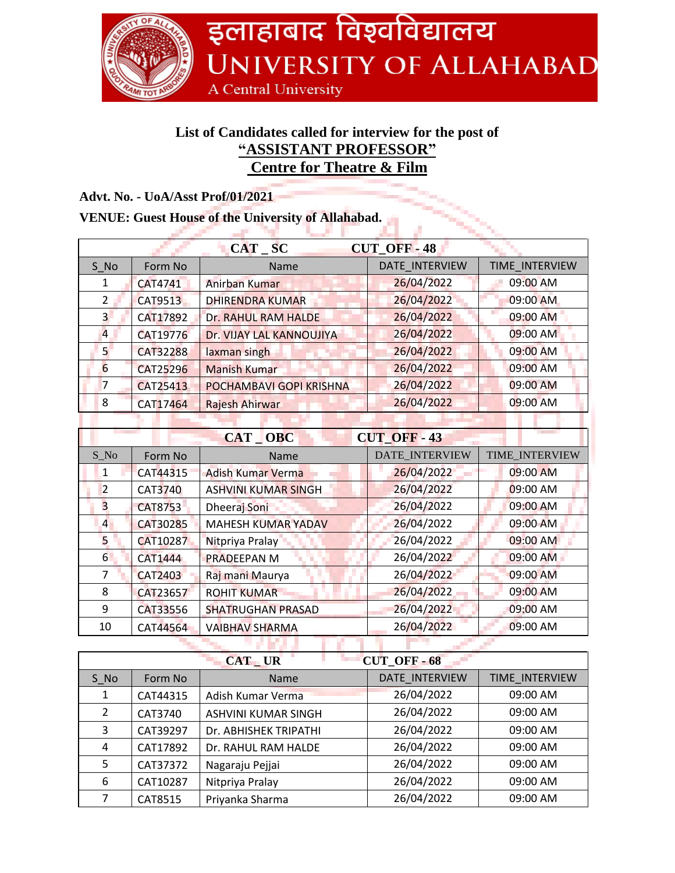

## **List of Candidates called for interview for the post of "ASSISTANT PROFESSOR" Centre for Theatre & Film**

| Advt. No. - UoA/Asst Prof/01/2021 |
|-----------------------------------|
|                                   |

## **VENUE: Guest House of the University of Allahabad.**

| Auvu 190. - Coarassi 1 101/01/2021                        |                 |                            |                       |                |
|-----------------------------------------------------------|-----------------|----------------------------|-----------------------|----------------|
| <b>VENUE: Guest House of the University of Allahabad.</b> |                 |                            |                       |                |
|                                                           |                 | $CAT$ $SC$                 | <b>CUT_OFF-48</b>     |                |
| S No                                                      | Form No         | Name                       | <b>DATE INTERVIEW</b> | TIME INTERVIEW |
| 1                                                         | CAT4741         | Anirban Kumar              | 26/04/2022            | 09:00 AM       |
| $\overline{2}$                                            | <b>CAT9513</b>  | <b>DHIRENDRA KUMAR</b>     | 26/04/2022            | 09:00 AM       |
| 3 <sup>1</sup>                                            | CAT17892        | Dr. RAHUL RAM HALDE        | 26/04/2022            | 09:00 AM       |
| $\overline{4}$                                            | CAT19776        | Dr. VIJAY LAL KANNOUJIYA   | 26/04/2022            | 09:00 AM       |
| 5 <sup>1</sup>                                            | CAT32288        | laxman singh               | 26/04/2022            | 09:00 AM       |
| $6\overline{6}$                                           | <b>CAT25296</b> | <b>Manish Kumar</b>        | 26/04/2022            | 09:00 AM       |
| $\overline{7}$                                            | CAT25413        | POCHAMBAVI GOPI KRISHNA    | 26/04/2022            | 09:00 AM       |
| 8                                                         | CAT17464        | Rajesh Ahirwar             | 26/04/2022            | 09:00 AM       |
|                                                           |                 |                            |                       |                |
| CAT OBC<br><b>CUT_OFF-43</b>                              |                 |                            |                       |                |
| $S_N$                                                     | Form No         | Name                       | DATE_INTERVIEW        | TIME_INTERVIEW |
| $\mathbf{1}$                                              | CAT44315        | <b>Adish Kumar Verma</b>   | 26/04/2022            | 09:00 AM       |
| $\overline{2}$                                            | <b>CAT3740</b>  | <b>ASHVINI KUMAR SINGH</b> | 26/04/2022            | 09:00 AM       |
| $\overline{\mathbf{3}}$                                   | <b>CAT8753</b>  | Dheeraj Soni               | 26/04/2022            | 09:00 AM       |
| $\overline{4}$                                            | CAT30285        | <b>MAHESH KUMAR YADAV</b>  | 26/04/2022            | 09:00 AM       |
| 5                                                         | CAT10287        | Nitpriya Pralay            | 26/04/2022            | 09:00 AM       |
| 6                                                         | CAT1444         | <b>PRADEEPAN M</b>         | 26/04/2022            | 09:00 AM       |
| 7                                                         | <b>CAT2403</b>  | Raj mani Maurya            | 26/04/2022            | 09:00 AM       |
| 8                                                         | CAT23657        | <b>ROHIT KUMAR</b>         | 26/04/2022            | 09:00 AM       |
| 9                                                         | CAT33556        | <b>SHATRUGHAN PRASAD</b>   | 26/04/2022            | 09:00 AM       |
| 10                                                        | CAT44564        | <b>VAIBHAV SHARMA</b>      | 26/04/2022            | 09:00 AM       |
|                                                           |                 |                            |                       |                |

| <b>CUT OFF-68</b><br><b>CAT_UR</b> |          |                       |                |                |
|------------------------------------|----------|-----------------------|----------------|----------------|
| S No                               | Form No  | <b>Name</b>           | DATE INTERVIEW | TIME INTERVIEW |
| 1                                  | CAT44315 | Adish Kumar Verma     | 26/04/2022     | 09:00 AM       |
| $\mathcal{L}$                      | CAT3740  | ASHVINI KUMAR SINGH   | 26/04/2022     | 09:00 AM       |
| 3                                  | CAT39297 | Dr. ABHISHEK TRIPATHI | 26/04/2022     | 09:00 AM       |
| 4                                  | CAT17892 | Dr. RAHUL RAM HALDE   | 26/04/2022     | 09:00 AM       |
| 5                                  | CAT37372 | Nagaraju Pejjai       | 26/04/2022     | 09:00 AM       |
| 6                                  | CAT10287 | Nitpriya Pralay       | 26/04/2022     | 09:00 AM       |
|                                    | CAT8515  | Priyanka Sharma       | 26/04/2022     | 09:00 AM       |